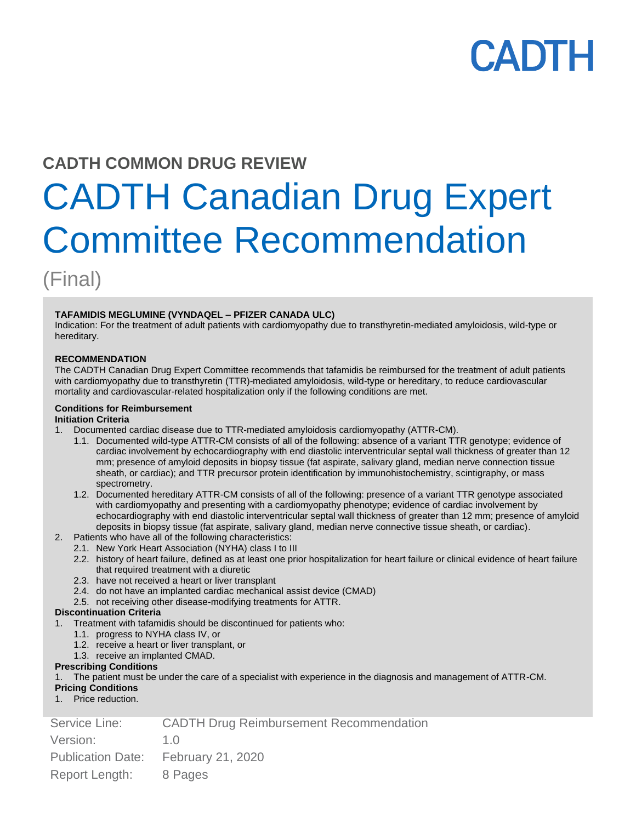# **CADTH COMMON DRUG REVIEW**

# CADTH Canadian Drug Expert Committee Recommendation

(Final)

# **TAFAMIDIS MEGLUMINE (VYNDAQEL – PFIZER CANADA ULC)**

Indication: For the treatment of adult patients with cardiomyopathy due to transthyretin-mediated amyloidosis, wild-type or hereditary.

#### **RECOMMENDATION**

The CADTH Canadian Drug Expert Committee recommends that tafamidis be reimbursed for the treatment of adult patients with cardiomyopathy due to transthyretin (TTR)-mediated amyloidosis, wild-type or hereditary, to reduce cardiovascular mortality and cardiovascular-related hospitalization only if the following conditions are met.

# **Conditions for Reimbursement**

# **Initiation Criteria**

- 1. Documented cardiac disease due to TTR-mediated amyloidosis cardiomyopathy (ATTR-CM).
	- 1.1. Documented wild-type ATTR-CM consists of all of the following: absence of a variant TTR genotype; evidence of cardiac involvement by echocardiography with end diastolic interventricular septal wall thickness of greater than 12 mm; presence of amyloid deposits in biopsy tissue (fat aspirate, salivary gland, median nerve connection tissue sheath, or cardiac); and TTR precursor protein identification by immunohistochemistry, scintigraphy, or mass spectrometry.
	- 1.2. Documented hereditary ATTR-CM consists of all of the following: presence of a variant TTR genotype associated with cardiomyopathy and presenting with a cardiomyopathy phenotype; evidence of cardiac involvement by echocardiography with end diastolic interventricular septal wall thickness of greater than 12 mm; presence of amyloid deposits in biopsy tissue (fat aspirate, salivary gland, median nerve connective tissue sheath, or cardiac).
- 2. Patients who have all of the following characteristics:
	- 2.1. New York Heart Association (NYHA) class I to III
	- 2.2. history of heart failure, defined as at least one prior hospitalization for heart failure or clinical evidence of heart failure that required treatment with a diuretic
	- 2.3. have not received a heart or liver transplant
	- 2.4. do not have an implanted cardiac mechanical assist device (CMAD)
	- 2.5. not receiving other disease-modifying treatments for ATTR.

# **Discontinuation Criteria**

- 1. Treatment with tafamidis should be discontinued for patients who:
	- 1.1. progress to NYHA class IV, or
	- 1.2. receive a heart or liver transplant, or
	- 1.3. receive an implanted CMAD.

### **Prescribing Conditions**

1. The patient must be under the care of a specialist with experience in the diagnosis and management of ATTR-CM.

### **Pricing Conditions**

1. Price reduction.

| <b>CADTH Drug Reimbursement Recommendation</b><br>Service Line: |  |
|-----------------------------------------------------------------|--|
|-----------------------------------------------------------------|--|

| Version:                | 1.0 |
|-------------------------|-----|
| 6. I Province 6. Inc. 1 |     |

Publication Date: February 21, 2020

Report Length: 8 Pages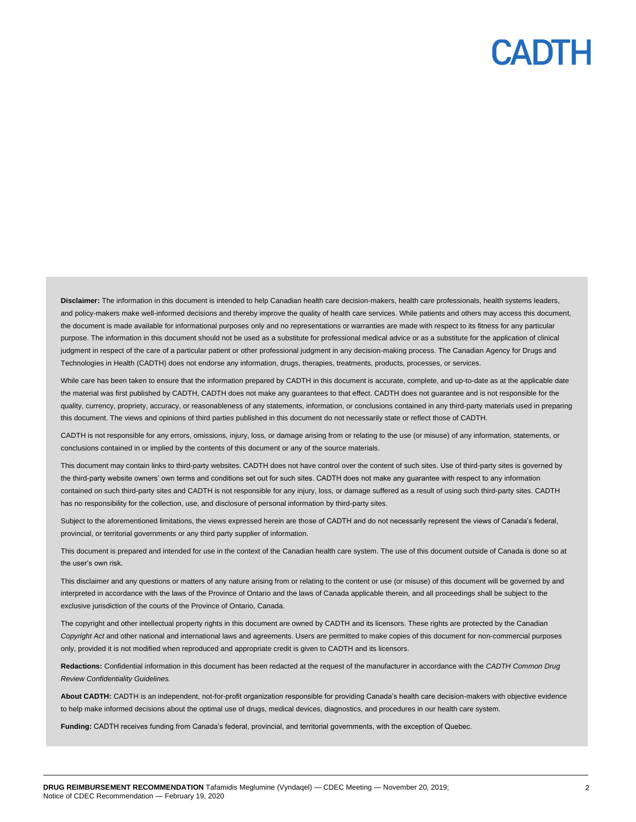Disclaimer: The information in this document is intended to help Canadian health care decision-makers, health care professionals, health systems leaders, and policy-makers make well-informed decisions and thereby improve the quality of health care services. While patients and others may access this document, the document is made available for informational purposes only and no representations or warranties are made with respect to its fitness for any particular purpose. The information in this document should not be used as a substitute for professional medical advice or as a substitute for the application of clinical judgment in respect of the care of a particular patient or other professional judgment in any decision-making process. The Canadian Agency for Drugs and Technologies in Health (CADTH) does not endorse any information, drugs, therapies, treatments, products, processes, or services.

While care has been taken to ensure that the information prepared by CADTH in this document is accurate, complete, and up-to-date as at the applicable date the material was first published by CADTH, CADTH does not make any guarantees to that effect. CADTH does not guarantee and is not responsible for the quality, currency, propriety, accuracy, or reasonableness of any statements, information, or conclusions contained in any third-party materials used in preparing this document. The views and opinions of third parties published in this document do not necessarily state or reflect those of CADTH.

CADTH is not responsible for any errors, omissions, injury, loss, or damage arising from or relating to the use (or misuse) of any information, statements, or conclusions contained in or implied by the contents of this document or any of the source materials.

This document may contain links to third-party websites. CADTH does not have control over the content of such sites. Use of third-party sites is governed by the third-party website owners' own terms and conditions set out for such sites. CADTH does not make any guarantee with respect to any information contained on such third-party sites and CADTH is not responsible for any injury, loss, or damage suffered as a result of using such third-party sites. CADTH has no responsibility for the collection, use, and disclosure of personal information by third-party sites.

Subject to the aforementioned limitations, the views expressed herein are those of CADTH and do not necessarily represent the views of Canada's federal, provincial, or territorial governments or any third party supplier of information.

This document is prepared and intended for use in the context of the Canadian health care system. The use of this document outside of Canada is done so at the user's own risk.

This disclaimer and any questions or matters of any nature arising from or relating to the content or use (or misuse) of this document will be governed by and interpreted in accordance with the laws of the Province of Ontario and the laws of Canada applicable therein, and all proceedings shall be subject to the exclusive jurisdiction of the courts of the Province of Ontario, Canada.

The copyright and other intellectual property rights in this document are owned by CADTH and its licensors. These rights are protected by the Canadian *Copyright Act* and other national and international laws and agreements. Users are permitted to make copies of this document for non-commercial purposes only, provided it is not modified when reproduced and appropriate credit is given to CADTH and its licensors.

**Redactions:** Confidential information in this document has been redacted at the request of the manufacturer in accordance with the *CADTH Common Drug Review Confidentiality Guidelines.*

**About CADTH:** CADTH is an independent, not-for-profit organization responsible for providing Canada's health care decision-makers with objective evidence to help make informed decisions about the optimal use of drugs, medical devices, diagnostics, and procedures in our health care system.

**Funding:** CADTH receives funding from Canada's federal, provincial, and territorial governments, with the exception of Quebec.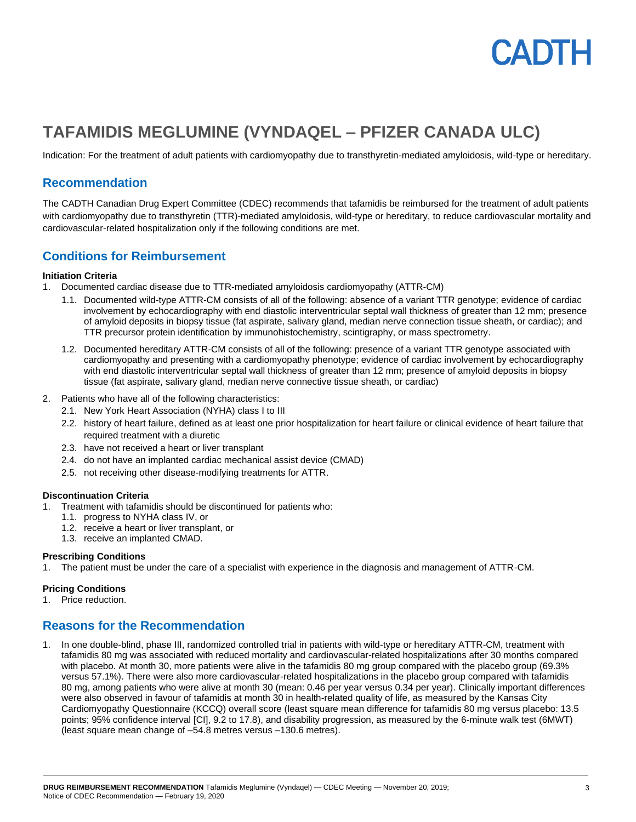# PADTH

# **TAFAMIDIS MEGLUMINE (VYNDAQEL – PFIZER CANADA ULC)**

Indication: For the treatment of adult patients with cardiomyopathy due to transthyretin-mediated amyloidosis, wild-type or hereditary.

# **Recommendation**

The CADTH Canadian Drug Expert Committee (CDEC) recommends that tafamidis be reimbursed for the treatment of adult patients with cardiomyopathy due to transthyretin (TTR)-mediated amyloidosis, wild-type or hereditary, to reduce cardiovascular mortality and cardiovascular-related hospitalization only if the following conditions are met.

# **Conditions for Reimbursement**

#### **Initiation Criteria**

- 1. Documented cardiac disease due to TTR-mediated amyloidosis cardiomyopathy (ATTR-CM)
	- 1.1. Documented wild-type ATTR-CM consists of all of the following: absence of a variant TTR genotype; evidence of cardiac involvement by echocardiography with end diastolic interventricular septal wall thickness of greater than 12 mm; presence of amyloid deposits in biopsy tissue (fat aspirate, salivary gland, median nerve connection tissue sheath, or cardiac); and TTR precursor protein identification by immunohistochemistry, scintigraphy, or mass spectrometry.
	- 1.2. Documented hereditary ATTR-CM consists of all of the following: presence of a variant TTR genotype associated with cardiomyopathy and presenting with a cardiomyopathy phenotype; evidence of cardiac involvement by echocardiography with end diastolic interventricular septal wall thickness of greater than 12 mm; presence of amyloid deposits in biopsy tissue (fat aspirate, salivary gland, median nerve connective tissue sheath, or cardiac)
- 2. Patients who have all of the following characteristics:
	- 2.1. New York Heart Association (NYHA) class I to III
	- 2.2. history of heart failure, defined as at least one prior hospitalization for heart failure or clinical evidence of heart failure that required treatment with a diuretic
	- 2.3. have not received a heart or liver transplant
	- 2.4. do not have an implanted cardiac mechanical assist device (CMAD)
	- 2.5. not receiving other disease-modifying treatments for ATTR.

#### **Discontinuation Criteria**

- 1. Treatment with tafamidis should be discontinued for patients who:
	- 1.1. progress to NYHA class IV, or
	- 1.2. receive a heart or liver transplant, or
	- 1.3. receive an implanted CMAD.

### **Prescribing Conditions**

1. The patient must be under the care of a specialist with experience in the diagnosis and management of ATTR-CM.

### **Pricing Conditions**

1. Price reduction.

# **Reasons for the Recommendation**

1. In one double-blind, phase III, randomized controlled trial in patients with wild-type or hereditary ATTR-CM, treatment with tafamidis 80 mg was associated with reduced mortality and cardiovascular-related hospitalizations after 30 months compared with placebo. At month 30, more patients were alive in the tafamidis 80 mg group compared with the placebo group (69.3% versus 57.1%). There were also more cardiovascular-related hospitalizations in the placebo group compared with tafamidis 80 mg, among patients who were alive at month 30 (mean: 0.46 per year versus 0.34 per year). Clinically important differences were also observed in favour of tafamidis at month 30 in health-related quality of life, as measured by the Kansas City Cardiomyopathy Questionnaire (KCCQ) overall score (least square mean difference for tafamidis 80 mg versus placebo: 13.5 points; 95% confidence interval [CI], 9.2 to 17.8), and disability progression, as measured by the 6-minute walk test (6MWT) (least square mean change of –54.8 metres versus –130.6 metres).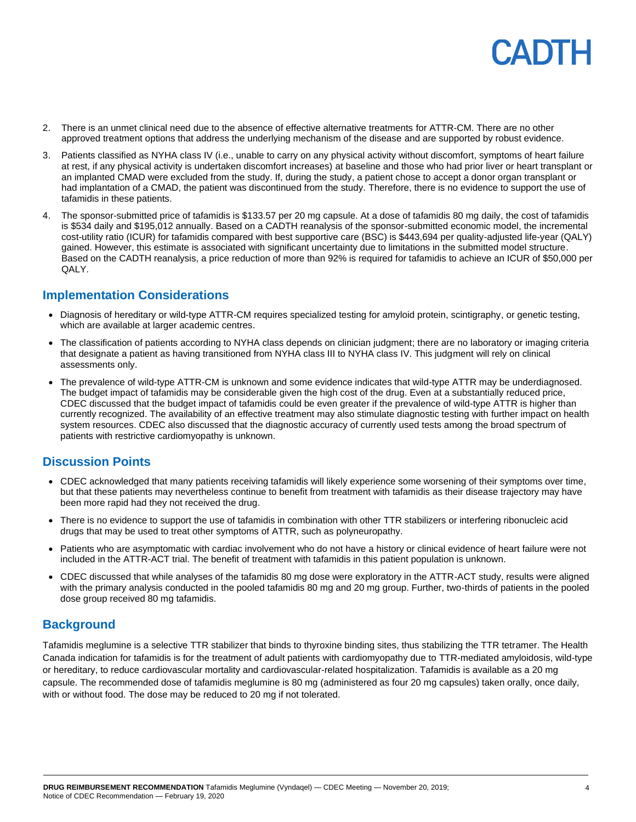# PADTH

- 2. There is an unmet clinical need due to the absence of effective alternative treatments for ATTR-CM. There are no other approved treatment options that address the underlying mechanism of the disease and are supported by robust evidence.
- 3. Patients classified as NYHA class IV (i.e., unable to carry on any physical activity without discomfort, symptoms of heart failure at rest, if any physical activity is undertaken discomfort increases) at baseline and those who had prior liver or heart transplant or an implanted CMAD were excluded from the study. If, during the study, a patient chose to accept a donor organ transplant or had implantation of a CMAD, the patient was discontinued from the study. Therefore, there is no evidence to support the use of tafamidis in these patients.
- 4. The sponsor-submitted price of tafamidis is \$133.57 per 20 mg capsule. At a dose of tafamidis 80 mg daily, the cost of tafamidis is \$534 daily and \$195,012 annually. Based on a CADTH reanalysis of the sponsor-submitted economic model, the incremental cost-utility ratio (ICUR) for tafamidis compared with best supportive care (BSC) is \$443,694 per quality-adjusted life-year (QALY) gained. However, this estimate is associated with significant uncertainty due to limitations in the submitted model structure. Based on the CADTH reanalysis, a price reduction of more than 92% is required for tafamidis to achieve an ICUR of \$50,000 per QALY.

# **Implementation Considerations**

- Diagnosis of hereditary or wild-type ATTR-CM requires specialized testing for amyloid protein, scintigraphy, or genetic testing, which are available at larger academic centres.
- The classification of patients according to NYHA class depends on clinician judgment; there are no laboratory or imaging criteria that designate a patient as having transitioned from NYHA class III to NYHA class IV. This judgment will rely on clinical assessments only.
- The prevalence of wild-type ATTR-CM is unknown and some evidence indicates that wild-type ATTR may be underdiagnosed. The budget impact of tafamidis may be considerable given the high cost of the drug. Even at a substantially reduced price, CDEC discussed that the budget impact of tafamidis could be even greater if the prevalence of wild-type ATTR is higher than currently recognized. The availability of an effective treatment may also stimulate diagnostic testing with further impact on health system resources. CDEC also discussed that the diagnostic accuracy of currently used tests among the broad spectrum of patients with restrictive cardiomyopathy is unknown.

# **Discussion Points**

- CDEC acknowledged that many patients receiving tafamidis will likely experience some worsening of their symptoms over time, but that these patients may nevertheless continue to benefit from treatment with tafamidis as their disease trajectory may have been more rapid had they not received the drug.
- There is no evidence to support the use of tafamidis in combination with other TTR stabilizers or interfering ribonucleic acid drugs that may be used to treat other symptoms of ATTR, such as polyneuropathy.
- Patients who are asymptomatic with cardiac involvement who do not have a history or clinical evidence of heart failure were not included in the ATTR-ACT trial. The benefit of treatment with tafamidis in this patient population is unknown.
- CDEC discussed that while analyses of the tafamidis 80 mg dose were exploratory in the ATTR-ACT study, results were aligned with the primary analysis conducted in the pooled tafamidis 80 mg and 20 mg group. Further, two-thirds of patients in the pooled dose group received 80 mg tafamidis.

# **Background**

Tafamidis meglumine is a selective TTR stabilizer that binds to thyroxine binding sites, thus stabilizing the TTR tetramer. The Health Canada indication for tafamidis is for the treatment of adult patients with cardiomyopathy due to TTR-mediated amyloidosis, wild-type or hereditary, to reduce cardiovascular mortality and cardiovascular-related hospitalization. Tafamidis is available as a 20 mg capsule. The recommended dose of tafamidis meglumine is 80 mg (administered as four 20 mg capsules) taken orally, once daily, with or without food. The dose may be reduced to 20 mg if not tolerated.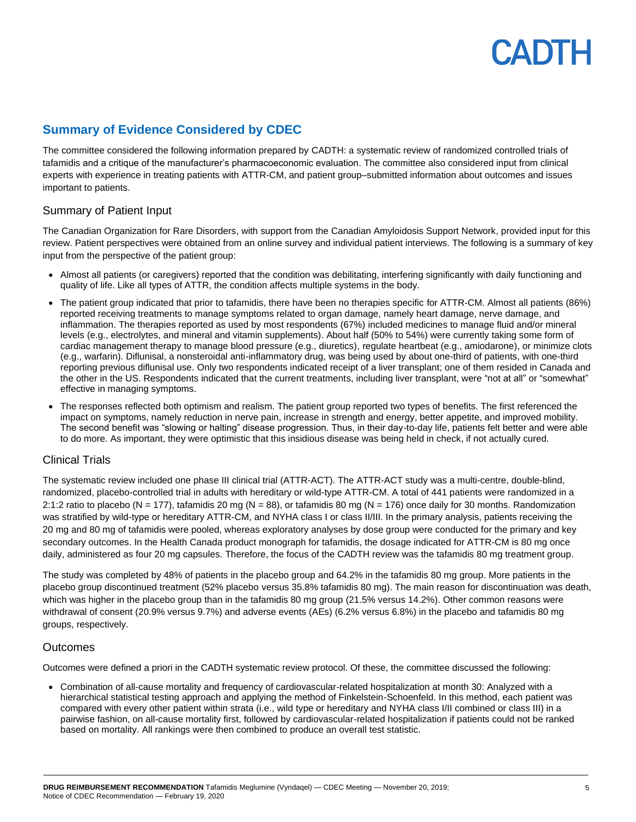# **Summary of Evidence Considered by CDEC**

The committee considered the following information prepared by CADTH: a systematic review of randomized controlled trials of tafamidis and a critique of the manufacturer's pharmacoeconomic evaluation. The committee also considered input from clinical experts with experience in treating patients with ATTR-CM, and patient group–submitted information about outcomes and issues important to patients.

# Summary of Patient Input

The Canadian Organization for Rare Disorders, with support from the Canadian Amyloidosis Support Network, provided input for this review. Patient perspectives were obtained from an online survey and individual patient interviews. The following is a summary of key input from the perspective of the patient group:

- Almost all patients (or caregivers) reported that the condition was debilitating, interfering significantly with daily functioning and quality of life. Like all types of ATTR, the condition affects multiple systems in the body.
- The patient group indicated that prior to tafamidis, there have been no therapies specific for ATTR-CM. Almost all patients (86%) reported receiving treatments to manage symptoms related to organ damage, namely heart damage, nerve damage, and inflammation. The therapies reported as used by most respondents (67%) included medicines to manage fluid and/or mineral levels (e.g., electrolytes, and mineral and vitamin supplements). About half (50% to 54%) were currently taking some form of cardiac management therapy to manage blood pressure (e.g., diuretics), regulate heartbeat (e.g., amiodarone), or minimize clots (e.g., warfarin). Diflunisal, a nonsteroidal anti-inflammatory drug, was being used by about one-third of patients, with one-third reporting previous diflunisal use. Only two respondents indicated receipt of a liver transplant; one of them resided in Canada and the other in the US. Respondents indicated that the current treatments, including liver transplant, were "not at all" or "somewhat" effective in managing symptoms.
- The responses reflected both optimism and realism. The patient group reported two types of benefits. The first referenced the impact on symptoms, namely reduction in nerve pain, increase in strength and energy, better appetite, and improved mobility. The second benefit was "slowing or halting" disease progression. Thus, in their day-to-day life, patients felt better and were able to do more. As important, they were optimistic that this insidious disease was being held in check, if not actually cured.

# Clinical Trials

The systematic review included one phase III clinical trial (ATTR-ACT). The ATTR-ACT study was a multi-centre, double-blind, randomized, placebo-controlled trial in adults with hereditary or wild-type ATTR-CM. A total of 441 patients were randomized in a 2:1:2 ratio to placebo (N = 177), tafamidis 20 mg (N = 88), or tafamidis 80 mg (N = 176) once daily for 30 months. Randomization was stratified by wild-type or hereditary ATTR-CM, and NYHA class I or class II/III. In the primary analysis, patients receiving the 20 mg and 80 mg of tafamidis were pooled, whereas exploratory analyses by dose group were conducted for the primary and key secondary outcomes. In the Health Canada product monograph for tafamidis, the dosage indicated for ATTR-CM is 80 mg once daily, administered as four 20 mg capsules. Therefore, the focus of the CADTH review was the tafamidis 80 mg treatment group.

The study was completed by 48% of patients in the placebo group and 64.2% in the tafamidis 80 mg group. More patients in the placebo group discontinued treatment (52% placebo versus 35.8% tafamidis 80 mg). The main reason for discontinuation was death, which was higher in the placebo group than in the tafamidis 80 mg group (21.5% versus 14.2%). Other common reasons were withdrawal of consent (20.9% versus 9.7%) and adverse events (AEs) (6.2% versus 6.8%) in the placebo and tafamidis 80 mg groups, respectively.

# Outcomes

Outcomes were defined a priori in the CADTH systematic review protocol. Of these, the committee discussed the following:

• Combination of all-cause mortality and frequency of cardiovascular-related hospitalization at month 30: Analyzed with a hierarchical statistical testing approach and applying the method of Finkelstein-Schoenfeld. In this method, each patient was compared with every other patient within strata (i.e., wild type or hereditary and NYHA class I/II combined or class III) in a pairwise fashion, on all-cause mortality first, followed by cardiovascular-related hospitalization if patients could not be ranked based on mortality. All rankings were then combined to produce an overall test statistic.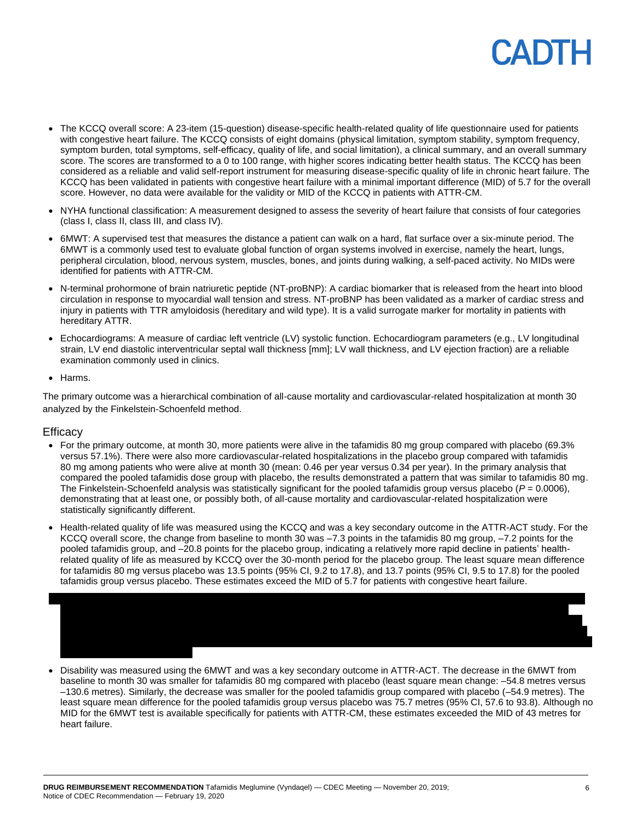- The KCCQ overall score: A 23-item (15-question) disease-specific health-related quality of life questionnaire used for patients with congestive heart failure. The KCCQ consists of eight domains (physical limitation, symptom stability, symptom frequency, symptom burden, total symptoms, self-efficacy, quality of life, and social limitation), a clinical summary, and an overall summary score. The scores are transformed to a 0 to 100 range, with higher scores indicating better health status. The KCCQ has been considered as a reliable and valid self-report instrument for measuring disease-specific quality of life in chronic heart failure. The KCCQ has been validated in patients with congestive heart failure with a minimal important difference (MID) of 5.7 for the overall score. However, no data were available for the validity or MID of the KCCQ in patients with ATTR-CM.
- NYHA functional classification: A measurement designed to assess the severity of heart failure that consists of four categories (class I, class II, class III, and class IV).
- 6MWT: A supervised test that measures the distance a patient can walk on a hard, flat surface over a six-minute period. The 6MWT is a commonly used test to evaluate global function of organ systems involved in exercise, namely the heart, lungs, peripheral circulation, blood, nervous system, muscles, bones, and joints during walking, a self-paced activity. No MIDs were identified for patients with ATTR-CM.
- N-terminal prohormone of brain natriuretic peptide (NT-proBNP): A cardiac biomarker that is released from the heart into blood circulation in response to myocardial wall tension and stress. NT-proBNP has been validated as a marker of cardiac stress and injury in patients with TTR amyloidosis (hereditary and wild type). It is a valid surrogate marker for mortality in patients with hereditary ATTR.
- Echocardiograms: A measure of cardiac left ventricle (LV) systolic function. Echocardiogram parameters (e.g., LV longitudinal strain, LV end diastolic interventricular septal wall thickness [mm]; LV wall thickness, and LV ejection fraction) are a reliable examination commonly used in clinics.
- Harms.

The primary outcome was a hierarchical combination of all-cause mortality and cardiovascular-related hospitalization at month 30 analyzed by the Finkelstein-Schoenfeld method.

# **Efficacy**

- For the primary outcome, at month 30, more patients were alive in the tafamidis 80 mg group compared with placebo (69.3% versus 57.1%). There were also more cardiovascular-related hospitalizations in the placebo group compared with tafamidis 80 mg among patients who were alive at month 30 (mean: 0.46 per year versus 0.34 per year). In the primary analysis that compared the pooled tafamidis dose group with placebo, the results demonstrated a pattern that was similar to tafamidis 80 mg. The Finkelstein-Schoenfeld analysis was statistically significant for the pooled tafamidis group versus placebo ( $P = 0.0006$ ), demonstrating that at least one, or possibly both, of all-cause mortality and cardiovascular-related hospitalization were statistically significantly different.
- Health-related quality of life was measured using the KCCQ and was a key secondary outcome in the ATTR-ACT study. For the KCCQ overall score, the change from baseline to month 30 was –7.3 points in the tafamidis 80 mg group, –7.2 points for the pooled tafamidis group, and –20.8 points for the placebo group, indicating a relatively more rapid decline in patients' healthrelated quality of life as measured by KCCQ over the 30-month period for the placebo group. The least square mean difference for tafamidis 80 mg versus placebo was 13.5 points (95% CI, 9.2 to 17.8), and 13.7 points (95% CI, 9.5 to 17.8) for the pooled tafamidis group versus placebo. These estimates exceed the MID of 5.7 for patients with congestive heart failure.



• Disability was measured using the 6MWT and was a key secondary outcome in ATTR-ACT. The decrease in the 6MWT from baseline to month 30 was smaller for tafamidis 80 mg compared with placebo (least square mean change: –54.8 metres versus –130.6 metres). Similarly, the decrease was smaller for the pooled tafamidis group compared with placebo (–54.9 metres). The least square mean difference for the pooled tafamidis group versus placebo was 75.7 metres (95% CI, 57.6 to 93.8). Although no MID for the 6MWT test is available specifically for patients with ATTR-CM, these estimates exceeded the MID of 43 metres for heart failure.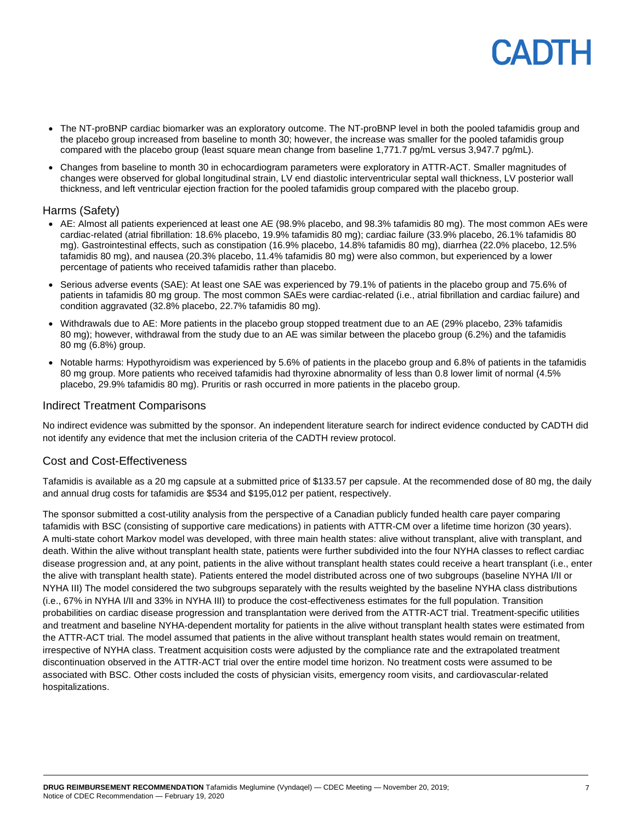- The NT-proBNP cardiac biomarker was an exploratory outcome. The NT-proBNP level in both the pooled tafamidis group and the placebo group increased from baseline to month 30; however, the increase was smaller for the pooled tafamidis group compared with the placebo group (least square mean change from baseline 1,771.7 pg/mL versus 3,947.7 pg/mL).
- Changes from baseline to month 30 in echocardiogram parameters were exploratory in ATTR-ACT. Smaller magnitudes of changes were observed for global longitudinal strain, LV end diastolic interventricular septal wall thickness, LV posterior wall thickness, and left ventricular ejection fraction for the pooled tafamidis group compared with the placebo group.

### Harms (Safety)

- AE: Almost all patients experienced at least one AE (98.9% placebo, and 98.3% tafamidis 80 mg). The most common AEs were cardiac-related (atrial fibrillation: 18.6% placebo, 19.9% tafamidis 80 mg); cardiac failure (33.9% placebo, 26.1% tafamidis 80 mg). Gastrointestinal effects, such as constipation (16.9% placebo, 14.8% tafamidis 80 mg), diarrhea (22.0% placebo, 12.5% tafamidis 80 mg), and nausea (20.3% placebo, 11.4% tafamidis 80 mg) were also common, but experienced by a lower percentage of patients who received tafamidis rather than placebo.
- Serious adverse events (SAE): At least one SAE was experienced by 79.1% of patients in the placebo group and 75.6% of patients in tafamidis 80 mg group. The most common SAEs were cardiac-related (i.e., atrial fibrillation and cardiac failure) and condition aggravated (32.8% placebo, 22.7% tafamidis 80 mg).
- Withdrawals due to AE: More patients in the placebo group stopped treatment due to an AE (29% placebo, 23% tafamidis 80 mg); however, withdrawal from the study due to an AE was similar between the placebo group (6.2%) and the tafamidis 80 mg (6.8%) group.
- Notable harms: Hypothyroidism was experienced by 5.6% of patients in the placebo group and 6.8% of patients in the tafamidis 80 mg group. More patients who received tafamidis had thyroxine abnormality of less than 0.8 lower limit of normal (4.5% placebo, 29.9% tafamidis 80 mg). Pruritis or rash occurred in more patients in the placebo group.

### Indirect Treatment Comparisons

No indirect evidence was submitted by the sponsor. An independent literature search for indirect evidence conducted by CADTH did not identify any evidence that met the inclusion criteria of the CADTH review protocol.

### Cost and Cost-Effectiveness

Tafamidis is available as a 20 mg capsule at a submitted price of \$133.57 per capsule. At the recommended dose of 80 mg, the daily and annual drug costs for tafamidis are \$534 and \$195,012 per patient, respectively.

The sponsor submitted a cost-utility analysis from the perspective of a Canadian publicly funded health care payer comparing tafamidis with BSC (consisting of supportive care medications) in patients with ATTR-CM over a lifetime time horizon (30 years). A multi-state cohort Markov model was developed, with three main health states: alive without transplant, alive with transplant, and death. Within the alive without transplant health state, patients were further subdivided into the four NYHA classes to reflect cardiac disease progression and, at any point, patients in the alive without transplant health states could receive a heart transplant (i.e., enter the alive with transplant health state). Patients entered the model distributed across one of two subgroups (baseline NYHA I/II or NYHA III) The model considered the two subgroups separately with the results weighted by the baseline NYHA class distributions (i.e., 67% in NYHA I/II and 33% in NYHA III) to produce the cost-effectiveness estimates for the full population. Transition probabilities on cardiac disease progression and transplantation were derived from the ATTR-ACT trial. Treatment-specific utilities and treatment and baseline NYHA-dependent mortality for patients in the alive without transplant health states were estimated from the ATTR-ACT trial. The model assumed that patients in the alive without transplant health states would remain on treatment, irrespective of NYHA class. Treatment acquisition costs were adjusted by the compliance rate and the extrapolated treatment discontinuation observed in the ATTR-ACT trial over the entire model time horizon. No treatment costs were assumed to be associated with BSC. Other costs included the costs of physician visits, emergency room visits, and cardiovascular-related hospitalizations.